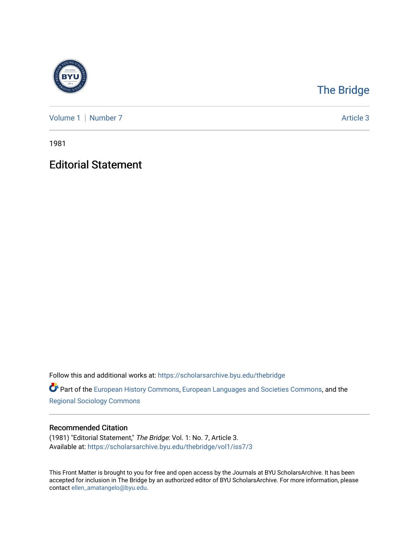

## [The Bridge](https://scholarsarchive.byu.edu/thebridge)

[Volume 1](https://scholarsarchive.byu.edu/thebridge/vol1) | [Number 7](https://scholarsarchive.byu.edu/thebridge/vol1/iss7) Article 3

1981

## Editorial Statement

Follow this and additional works at: [https://scholarsarchive.byu.edu/thebridge](https://scholarsarchive.byu.edu/thebridge?utm_source=scholarsarchive.byu.edu%2Fthebridge%2Fvol1%2Fiss7%2F3&utm_medium=PDF&utm_campaign=PDFCoverPages) 

**Part of the [European History Commons](http://network.bepress.com/hgg/discipline/492?utm_source=scholarsarchive.byu.edu%2Fthebridge%2Fvol1%2Fiss7%2F3&utm_medium=PDF&utm_campaign=PDFCoverPages), [European Languages and Societies Commons,](http://network.bepress.com/hgg/discipline/482?utm_source=scholarsarchive.byu.edu%2Fthebridge%2Fvol1%2Fiss7%2F3&utm_medium=PDF&utm_campaign=PDFCoverPages) and the** [Regional Sociology Commons](http://network.bepress.com/hgg/discipline/427?utm_source=scholarsarchive.byu.edu%2Fthebridge%2Fvol1%2Fiss7%2F3&utm_medium=PDF&utm_campaign=PDFCoverPages) 

## Recommended Citation

(1981) "Editorial Statement," The Bridge: Vol. 1: No. 7, Article 3. Available at: [https://scholarsarchive.byu.edu/thebridge/vol1/iss7/3](https://scholarsarchive.byu.edu/thebridge/vol1/iss7/3?utm_source=scholarsarchive.byu.edu%2Fthebridge%2Fvol1%2Fiss7%2F3&utm_medium=PDF&utm_campaign=PDFCoverPages)

This Front Matter is brought to you for free and open access by the Journals at BYU ScholarsArchive. It has been accepted for inclusion in The Bridge by an authorized editor of BYU ScholarsArchive. For more information, please contact [ellen\\_amatangelo@byu.edu.](mailto:ellen_amatangelo@byu.edu)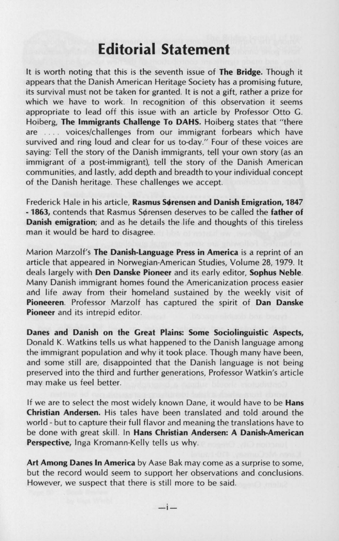## **Editorial Statement**

It is worth noting that this is the seventh issue of **The Bridge.** Though it appears that the Danish American Heritage Society has a promising future, its survival must not be taken for granted. It is not a gift, rather a prize for which we have to work. In recognition of this observation it seems appropriate to lead off this issue with an article by Professor Otto G. Hoiberg, **The Immigrants Challenge To DAHS.** Hoiberg states that "there are .... voices/challenges from our immigrant forbears which have survived and ring loud and clear for us to-day." Four of these voices are saying: Tell the story of the Danish immigrants, tell your own story (as an immigrant of a post-immigrant), tell the story of the Danish American communities, and lastly, add depth and breadth to your individual concept of the Danish heritage. These challenges we accept.

Frederick Hale in his article, Rasmus Sørensen and Danish Emigration, 1847 - 1863, contends that Rasmus Sørensen deserves to be called the father of **Danish emigration;** and as he details the life and thoughts of this tireless man it would be hard to disagree.

Marion Marzolf's **The Danish-Language Press in America** is a reprint of an article that appeared in Norwegian-American Studies, Volume 28, 1979. It deals largely with **Den Danske Pioneer** and its early editor, **Sophus Neble.**  Many Danish immigrant homes found the Americanization process easier and life away from their homeland sustained by the weekly visit of **Pioneeren.** Professor Marzolf has captured the spirit of **Dan Danske Pioneer** and its intrepid editor.

**Danes and Danish on the Great Plains: Some Sociolinguistic Aspects,**  Donald K. Watkins tells us what happened to the Danish language among the immigrant population and why it took place. Though many have been, and some still are, disappointed that the Danish language is not being preserved into the third and further generations, Professor Watkin's article may make us feel better.

If we are to select the most widely known Dane, it would have to be **Hans Christian Andersen.** His tales have been translated and told around the world - but to capture their full flavor and meaning the translations have to be done with great skill. In **Hans Christian Andersen: A Danish-American Perspective,** Inga Kromann-Kelly tells us why.

**Art Among Danes In America** by Aase Bak may come as a surprise to some, but the record would seem to support her observations and conclusions. However, we suspect that there is still more to be said.